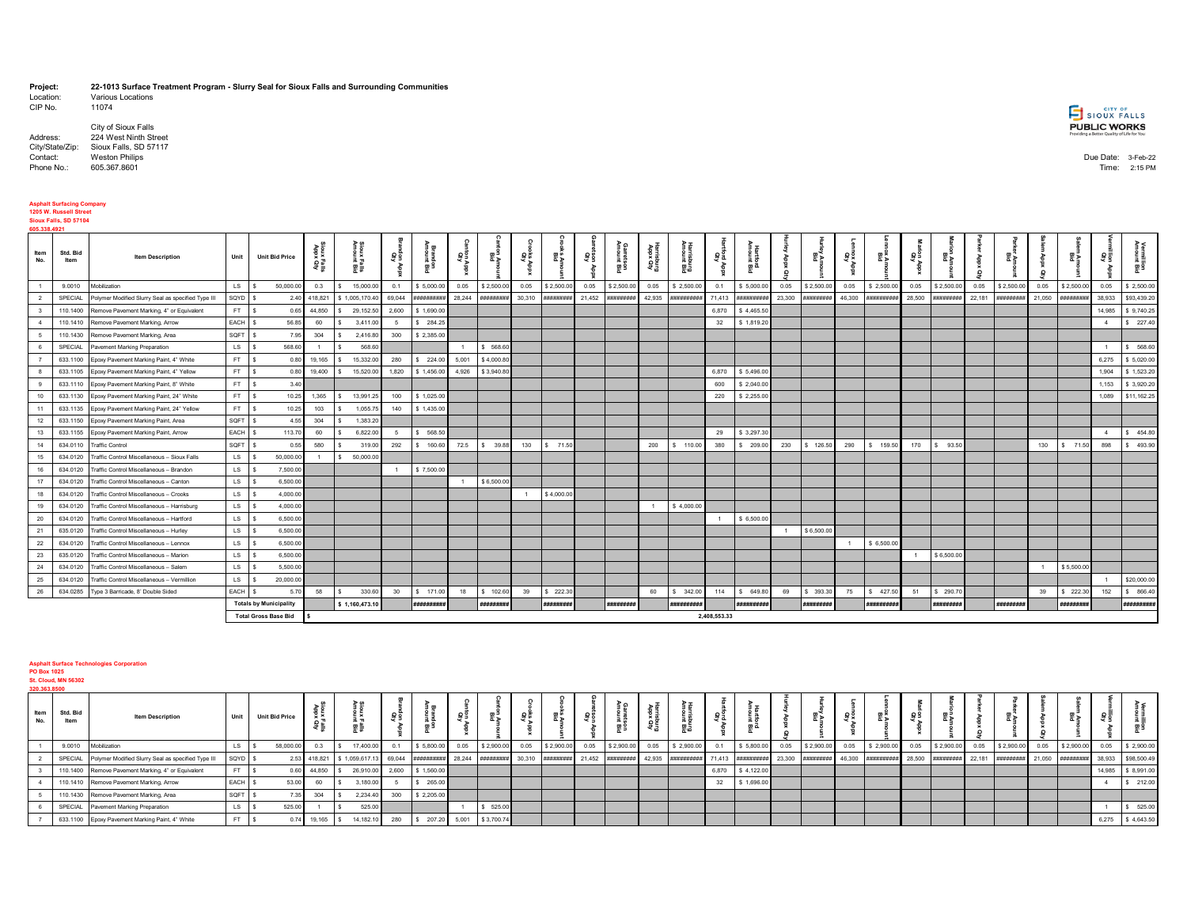## **Project: 22-1013 Surface Treatment Program - Slurry Seal for Sioux Falls and Surrounding Communities**

Various Locations<br>11074 CIP No.

|            | City of Sioux Falls                   | <b>PUBLIC WORKS</b><br>Providing a Better Quality of Life for You! |  |
|------------|---------------------------------------|--------------------------------------------------------------------|--|
| Address:   | 224 West Ninth Street                 |                                                                    |  |
|            | City/State/Zip: Sioux Falls, SD 57117 |                                                                    |  |
| Contact:   | <b>Weston Philips</b>                 | Due Date: 3-Feb-22                                                 |  |
| Phone No.: | 605.367.8601                          | Time: 2:15 PM                                                      |  |

## **Asphalt Surfacing Company 1205 W. Russell Street Sioux Falls, SD 57104**

| 605.338.4921 |                  |                                                    |               |                               |                      |                      |        |             |             |                  |           |                   |        |                         |                      |            |              |             |                |            |          |            |           |                |        |            |         |            |                |             |
|--------------|------------------|----------------------------------------------------|---------------|-------------------------------|----------------------|----------------------|--------|-------------|-------------|------------------|-----------|-------------------|--------|-------------------------|----------------------|------------|--------------|-------------|----------------|------------|----------|------------|-----------|----------------|--------|------------|---------|------------|----------------|-------------|
| Item<br>No.  | Std. Bid<br>Item | <b>Item Description</b>                            | Unit          | <b>Unit Bid Price</b>         | Sioux<br>xuol2<br>올릴 | Sioux<br>Amold<br>ᆿᆩ | 흉      | 튶<br>黑      | ca Ap<br>GB | 물                | ăş<br>Giy | மை<br>ح≊          | ទីទី   | Garretson<br>Amount Bid | Harrisburg<br>Prusia | 器          | ğ            | ᇛᄘ          | Q              | 鰀          | es<br>Ap | ¤ ¤¤       | les<br>An | 효과             |        |            | $\circ$ | 돌골         | 용              | 모음          |
|              | 9.0010           | dobilization                                       | $\mathsf{LS}$ | 50,000.00<br>-S               | 0.3                  | 15,000.00            | 0.1    | \$5,000.00  | 0.05        | \$2,500.00       | 0.05      | \$2,500.0         | 0.05   | \$2,500.00              | 0.05                 | \$2,500.00 | 0.1          | \$5,000.00  | 0.05           | \$2,500.00 | 0.05     | \$2,500.00 | 0.05      | \$2,500.00     | 0.05   | \$2,500.00 | 0.05    | \$2,500.0  | 0.05           | \$2,500.00  |
|              | SPECIAL          | Polymer Modified Slurry Seal as specified Type III | SQYD \$       | 2.40                          | 418,821              | \$1,005,170.40       | 69.044 | #########   |             | 28.244 ######### | 30,310    | *********         | 21,452 | ***********             | 42,935               | ********** | 71,413       | **********  | 23,300         | ********** | 46,300   | #########  | 28,500    | ##########     | 22,181 | ########   | 21,050  | *********  | 38,933         | \$93,439.20 |
|              | 110.1400         | Remove Pavement Marking, 4" or Equivalent          | FT            | 0.65<br>$\mathbf{s}$          | 44,850               | 29,152.50            | 2,600  | \$1,690.00  |             |                  |           |                   |        |                         |                      |            | 6.870        | \$4,465.5   |                |            |          |            |           |                |        |            |         |            | 14,985         | \$9,740.25  |
|              | 110.1410         | Remove Pavement Marking, Arrow                     | EACH \$       | 56.85                         | 60                   | 3,411.00             | - 5    | \$284.25    |             |                  |           |                   |        |                         |                      |            | 32           | \$1,819.20  |                |            |          |            |           |                |        |            |         |            | $\overline{4}$ | \$227.40    |
|              | 110.1430         | Remove Pavement Marking, Area                      | SQFT \$       | 7.95                          | 304                  | 2,416.80             | 300    | \$2,385.00  |             |                  |           |                   |        |                         |                      |            |              |             |                |            |          |            |           |                |        |            |         |            |                |             |
|              | SPECIAL          | Pavement Marking Preparation                       | $LS$ $S$      | 568.60                        | $\overline{1}$       | 568.60               |        |             |             | \$ 568.60        |           |                   |        |                         |                      |            |              |             |                |            |          |            |           |                |        |            |         |            |                | \$ 568.60   |
|              | 633.1100         | Epoxy Pavement Marking Paint, 4" White             | FT.           | 0.80<br>- \$                  | 19,165               | 15,332.00            | 280    | \$224.00    | 5.001       | \$4,000.80       |           |                   |        |                         |                      |            |              |             |                |            |          |            |           |                |        |            |         |            | 6.275          | \$5,020.00  |
|              | 633.1105         | Epoxy Pavement Marking Paint, 4" Yellow            | FT S          | 0.80                          | 19,400               | 15,520.00            | 1,820  | \$1,456.00  | 4,926       | \$3,940.80       |           |                   |        |                         |                      |            | 6,870        | \$5,496.00  |                |            |          |            |           |                |        |            |         |            | 1.904          | \$1,523.20  |
|              | 633.1110         | Epoxy Pavement Marking Paint, 8" White             | FT \$         | 3.40                          |                      |                      |        |             |             |                  |           |                   |        |                         |                      |            | 600          | \$2,040.00  |                |            |          |            |           |                |        |            |         |            | 1,153          | \$3,920.20  |
| 10           | 633.1130         | Epoxy Pavement Marking Paint, 24" White            | FT \$         | 10.25                         | 1,365                | 13,991.25            | 100    | \$1,025.00  |             |                  |           |                   |        |                         |                      |            | 220          | \$2,255.00  |                |            |          |            |           |                |        |            |         |            | 1,089          | \$11,162.25 |
| 11           | 633.1135         | Epoxy Pavement Marking Paint, 24" Yellow           | FT S          | 10.25                         | 103                  | 1,055.75             | 140    | \$1,435.00  |             |                  |           |                   |        |                         |                      |            |              |             |                |            |          |            |           |                |        |            |         |            |                |             |
| 12           | 633.1150         | Epoxy Pavement Marking Paint, Area                 | SQFT \$       | 4.55                          | 304                  | 1,383.20             |        |             |             |                  |           |                   |        |                         |                      |            |              |             |                |            |          |            |           |                |        |            |         |            |                |             |
| 13           | 633.1155         | Epoxy Pavement Marking Paint, Arrow                | EACH S        | 113.70                        | 60                   | 6,822.00             |        | \$ 568.50   |             |                  |           |                   |        |                         |                      |            | 29           | \$3,297.30  |                |            |          |            |           |                |        |            |         |            |                | \$454.80    |
| 14           | 634.0110         | <b>Traffic Control</b>                             | SQFT \$       | 0.55                          | 580                  | 319.00               | 292    | \$ 160.60   |             | 72.5 \$ 39.88    | 130       | \$71.50           |        |                         | 200                  | \$ 110.00  | 380          | \$209.00    | 230            | \$126.50   | 290      | \$ 159.50  |           | 170   \$ 93.50 |        |            | 130     | \$71.50    | 898            | \$493.90    |
| 15           | 634.0120         | Fraffic Control Miscellaneous - Sioux Falls        | LS            | 50,000.00<br>$\mathsf{s}$     |                      | 50,000.00<br>- \$    |        |             |             |                  |           |                   |        |                         |                      |            |              |             |                |            |          |            |           |                |        |            |         |            |                |             |
| 16           | 634.0120         | raffic Control Miscellaneous - Brandon             | LS .          | 7,500.00<br>- \$              |                      |                      |        | \$7,500.00  |             |                  |           |                   |        |                         |                      |            |              |             |                |            |          |            |           |                |        |            |         |            |                |             |
| 17           | 634.0120         | Traffic Control Miscellaneous - Canton             | LS            | 6,500.00<br>- \$              |                      |                      |        |             |             | \$6,500.00       |           |                   |        |                         |                      |            |              |             |                |            |          |            |           |                |        |            |         |            |                |             |
| 18           | 634.0120         | Traffic Control Miscellaneous - Crooks             | LS            | 4,000.00<br>۱s                |                      |                      |        |             |             |                  |           | \$4,000.00        |        |                         |                      |            |              |             |                |            |          |            |           |                |        |            |         |            |                |             |
| 19           | 634.0120         | Fraffic Control Miscellaneous - Harrisburg         | <b>LS</b>     | 4,000.00<br>-S                |                      |                      |        |             |             |                  |           |                   |        |                         |                      | \$4,000.00 |              |             |                |            |          |            |           |                |        |            |         |            |                |             |
| 20           | 634.0120         | Traffic Control Miscellaneous - Hartford           | <b>LS</b>     | 6,500.00<br>-S                |                      |                      |        |             |             |                  |           |                   |        |                         |                      |            |              | \$6,500.00  |                |            |          |            |           |                |        |            |         |            |                |             |
| 21           | 635.0120         | Traffic Control Miscellaneous - Hurley             | LS .          | 6,500.00<br>l s               |                      |                      |        |             |             |                  |           |                   |        |                         |                      |            |              |             | $\overline{1}$ | \$6,500.00 |          |            |           |                |        |            |         |            |                |             |
| 22           | 634.0120         | Traffic Control Miscellaneous - Lennox             | <b>LS</b>     | 6,500.00<br>- \$              |                      |                      |        |             |             |                  |           |                   |        |                         |                      |            |              |             |                |            |          | \$6,500.00 |           |                |        |            |         |            |                |             |
| 23           | 635.0120         | Fraffic Control Miscellaneous - Marion             | LS .          | 6,500.00<br>- \$              |                      |                      |        |             |             |                  |           |                   |        |                         |                      |            |              |             |                |            |          |            |           | \$6,500.00     |        |            |         |            |                |             |
| 24           | 634.0120         | Traffic Control Miscellaneous - Salem              | <b>LS</b>     | 5,500.00<br>- S               |                      |                      |        |             |             |                  |           |                   |        |                         |                      |            |              |             |                |            |          |            |           |                |        |            |         | \$5,500.00 |                |             |
| 25           | 634.0120         | Traffic Control Miscellaneous - Vermillion         | <b>LS</b>     | 20,000.0                      |                      |                      |        |             |             |                  |           |                   |        |                         |                      |            |              |             |                |            |          |            |           |                |        |            |         |            |                | \$20,000.00 |
| 26           | 634.0285         | Type 3 Barricade, 8' Double Sided                  | EACH \$       | 5.7                           | 58                   | 330.60               | 30     | \$ 171.00   | 18          | 102.60           | 39        | \$222.3           |        |                         | 60                   | \$342.00   | 114          | \$649.8     | 69             | \$393.30   | 75       | \$427.50   | 51        | \$290.70       |        |            | 39      | \$222.30   | 152            | \$866.40    |
|              |                  |                                                    |               | <b>Totals by Municipality</b> |                      | \$1,160,473.10       |        | *********** |             | #########        |           | <i>########</i> # |        | #########               |                      | #########  |              | *********** |                | #########  |          | #########  |           | #########      |        | #########  |         | ********** |                | *********** |
|              |                  |                                                    |               | <b>Total Gross Base Bid</b>   |                      |                      |        |             |             |                  |           |                   |        |                         |                      |            | 2,408,553.33 |             |                |            |          |            |           |                |        |            |         |            |                |             |

## **Asphalt Surface Technologies Corporation**

**PO Box 1025 St. Cloud, MN 56302 320.363.8500**

| 320.363.8500 |                                                            |          |                       |                  |                                    |      |            |                              |    |                    |           |                      |                |            |       |            |                        |    |                                                    |    |  |      |            |       |                   |
|--------------|------------------------------------------------------------|----------|-----------------------|------------------|------------------------------------|------|------------|------------------------------|----|--------------------|-----------|----------------------|----------------|------------|-------|------------|------------------------|----|----------------------------------------------------|----|--|------|------------|-------|-------------------|
| Item         | Std. Bid<br><b>Item Description</b><br>Item                | Unit     | <b>Unit Bid Price</b> |                  | ⊣ ב                                | ទីខ្ |            | a⊺>                          | 요준 |                    | es<br>Gra |                      | kapxe<br>Bunqs |            |       |            | 줄게                     | gg |                                                    | 문문 |  |      |            |       |                   |
|              | 9.0010<br>Mobilization                                     | LS S     | 58,000.00             | 0.3              | 17,400.00<br>l s                   | 0.1  |            | \$5,800.00  0.05  \$2,900.00 |    | $0.05$ \$ 2,900.00 |           | 0.05 \$2,900.00 0.05 |                | \$2,900.00 | 0.1   | \$5,800.00 | $0.05$ \$2,900.00 0.05 |    | \$2,900.00   0.05   \$2,900.00   0.05   \$2,900.00 |    |  | 0.05 | \$2,900.00 | 0.05  | \$2,900.00        |
|              | SPECIAL Polymer Modified Slurry Seal as specified Type III | SQYD S   |                       |                  | 2.53 418,821 \$1,059,617.13 69,044 |      |            |                              |    |                    |           |                      |                |            |       |            |                        |    |                                                    |    |  |      |            |       |                   |
|              | 110.1400 Remove Pavement Marking, 4" or Equivalent         | FT S     |                       | $0.60$ 44,850 \$ | 26,910.00 2,600                    |      | \$1.560.00 |                              |    |                    |           |                      |                |            | 6.870 | \$4.122.00 |                        |    |                                                    |    |  |      |            |       | 14,985 \$8,991.00 |
|              | 110.1410 Remove Pavement Marking, Arrow                    | EACH \$  | 53.00                 | 60               | 3,180.00                           |      | 265.00     |                              |    |                    |           |                      |                |            | 32    | 1,696.00   |                        |    |                                                    |    |  |      |            |       | \$212.00          |
|              | 110.1430 Remove Pavement Marking, Area                     | SQFT.    |                       | 304              | 2.234.40                           | 300  | \$2,205.00 |                              |    |                    |           |                      |                |            |       |            |                        |    |                                                    |    |  |      |            |       |                   |
|              | SPECIAL Pavement Marking Preparation                       | $LS$ $S$ | 525.0                 |                  | 525.00                             |      |            | \$ 525.00                    |    |                    |           |                      |                |            |       |            |                        |    |                                                    |    |  |      |            |       | \$525.00          |
|              | 633.1100 Epoxy Pavement Marking Paint, 4" White            | FT S     |                       | $0.74$ 19,165 \$ | 14, 182. 10                        | 280  |            | \$ 207.20 5,001 \$3,700.74   |    |                    |           |                      |                |            |       |            |                        |    |                                                    |    |  |      |            | 6,275 | \$4,643.50        |

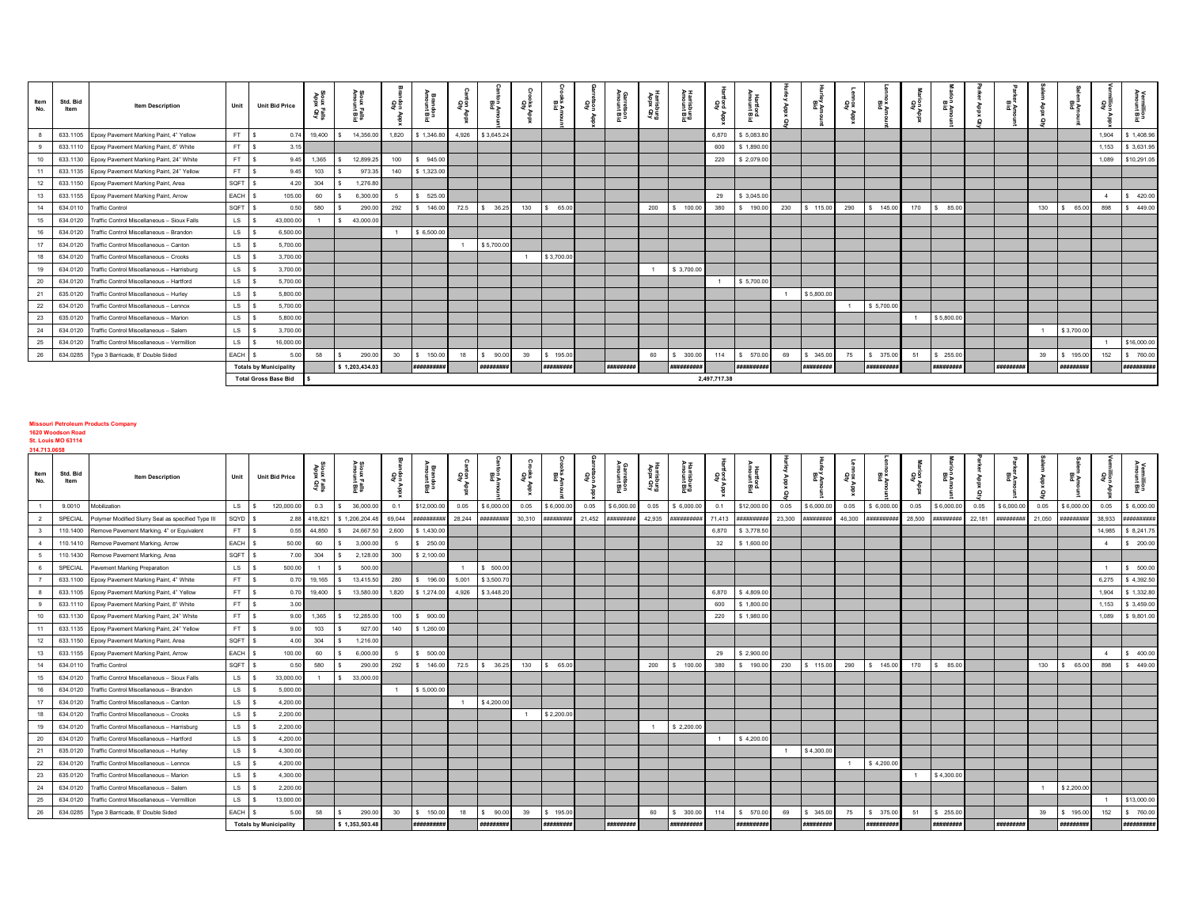| ltem<br>No. | Std. Bid<br>Item | <b>Item Description</b>                           | Unit      | <b>Unit Bid Price</b>         | Appx<br>E≣ê | 음은<br>Falls<br>rt Bid | 용     | ╕ᡂ<br>흡<br>죠 | ខ្លួទ្ធ |                     | $\Omega$<br>åg<br>Se | 쁣          | ទីទី | ۹ء<br>arretson<br>nount Bid | Harrisburg<br>Pundahar | isburg<br>gruegid | ag.          | 턆          | Q   | 뽏          | ã g | 뽌           | eg<br>S | ÷ъ         |           |     | 몰콜         | 용률    | 릁           |
|-------------|------------------|---------------------------------------------------|-----------|-------------------------------|-------------|-----------------------|-------|--------------|---------|---------------------|----------------------|------------|------|-----------------------------|------------------------|-------------------|--------------|------------|-----|------------|-----|-------------|---------|------------|-----------|-----|------------|-------|-------------|
|             |                  | 633.1105 Epoxy Pavement Marking Paint, 4" Yellow  | FT        | - \$                          | 0.74 19,400 | 14,356.00             | 1,820 | \$1,346.80   |         | 4,926 \$3,645.24    |                      |            |      |                             |                        |                   | 6,870        | \$5,083.80 |     |            |     |             |         |            |           |     |            | 1.904 | \$1,408.96  |
|             |                  | 633.1110 Epoxy Pavement Marking Paint, 8" White   | FT.       | 3.15                          |             |                       |       |              |         |                     |                      |            |      |                             |                        |                   | 600          | \$1,890.00 |     |            |     |             |         |            |           |     |            | 1,153 | \$3,631.95  |
|             |                  | 633.1130 Epoxy Pavement Marking Paint, 24" White  | FT.       | 9.45                          | 1,365       | 12,899.25             | 100   | \$945.00     |         |                     |                      |            |      |                             |                        |                   | 220          | \$2,079.00 |     |            |     |             |         |            |           |     |            | 1,089 | \$10,291.05 |
|             |                  | 633.1135 Epoxy Pavement Marking Paint, 24" Yellow | FT.       | 9.45                          | 103         | 973.35                | 140   | \$1,323.00   |         |                     |                      |            |      |                             |                        |                   |              |            |     |            |     |             |         |            |           |     |            |       |             |
| 12          |                  | 633.1150 Epoxy Pavement Marking Paint, Area       | SQFT      | 4.20                          | 304         | 1,276.80              |       |              |         |                     |                      |            |      |                             |                        |                   |              |            |     |            |     |             |         |            |           |     |            |       |             |
| 13          |                  | 633.1155 Epoxy Pavement Marking Paint, Arrow      | EACH      | 105.00                        | 60          | 6,300.00              |       | \$525.00     |         |                     |                      |            |      |                             |                        |                   | 29           | \$3,045.00 |     |            |     |             |         |            |           |     |            |       | \$420.00    |
| 14          | 634.0110         | <b>Traffic Control</b>                            | SQFT      | 0.50                          | 580         | 290.00                | 292   | \$ 146.00    | 72.5    | 36.25<br>$\sqrt{2}$ | 130                  | \$65.00    |      |                             | 200                    | \$ 100.00         | 380          | \$ 190.00  | 230 | \$ 115.00  | 290 | \$ 145.00   | 170     | \$ 85.00   |           | 130 | 65.00      | 898   | \$449.00    |
| 15          | 634.0120         | Traffic Control Miscellaneous - Sioux Falls       | LS.       | 43,000.00                     |             | 43,000.00             |       |              |         |                     |                      |            |      |                             |                        |                   |              |            |     |            |     |             |         |            |           |     |            |       |             |
| 16          | 634.0120         | Traffic Control Miscellaneous - Brandon           | LS.       | 6,500.00                      |             |                       |       | \$6,500.00   |         |                     |                      |            |      |                             |                        |                   |              |            |     |            |     |             |         |            |           |     |            |       |             |
| 17          | 634.0120         | Traffic Control Miscellaneous - Canton            | LS.       | 5,700.00                      |             |                       |       |              |         | \$5,700.00          |                      |            |      |                             |                        |                   |              |            |     |            |     |             |         |            |           |     |            |       |             |
| 18          | 634.0120         | Traffic Control Miscellaneous - Crooks            | LS.       | 3,700.00                      |             |                       |       |              |         |                     |                      | \$3,700.00 |      |                             |                        |                   |              |            |     |            |     |             |         |            |           |     |            |       |             |
| 19          | 634.0120         | Traffic Control Miscellaneous - Harrisburg        | <b>LS</b> | 3,700.00                      |             |                       |       |              |         |                     |                      |            |      |                             |                        | \$3,700.00        |              |            |     |            |     |             |         |            |           |     |            |       |             |
| 20          | 634.0120         | Traffic Control Miscellaneous - Hartford          | <b>LS</b> | 5,700.00                      |             |                       |       |              |         |                     |                      |            |      |                             |                        |                   |              | \$5,700.00 |     |            |     |             |         |            |           |     |            |       |             |
| 21          | 635.0120         | Traffic Control Miscellaneous - Hurley            | <b>LS</b> | 5,800.00                      |             |                       |       |              |         |                     |                      |            |      |                             |                        |                   |              |            |     | \$5,800.00 |     |             |         |            |           |     |            |       |             |
| 22          | 634.0120         | Traffic Control Miscellaneous - Lennox            | LS.       | 5,700.00                      |             |                       |       |              |         |                     |                      |            |      |                             |                        |                   |              |            |     |            |     | \$5,700.00  |         |            |           |     |            |       |             |
| 23          | 635.0120         | Traffic Control Miscellaneous - Marion            | LS .      | 5,800.00                      |             |                       |       |              |         |                     |                      |            |      |                             |                        |                   |              |            |     |            |     |             |         | \$5,800.00 |           |     |            |       |             |
| 24          | 634.0120         | Traffic Control Miscellaneous - Salem             | <b>LS</b> | 3,700.00                      |             |                       |       |              |         |                     |                      |            |      |                             |                        |                   |              |            |     |            |     |             |         |            |           |     | \$3,700.00 |       |             |
| 25          | 634.0120         | Traffic Control Miscellaneous - Vermillion        | <b>LS</b> | 16,000.00                     |             |                       |       |              |         |                     |                      |            |      |                             |                        |                   |              |            |     |            |     |             |         |            |           |     |            |       | \$16,000.00 |
| 26          |                  | 634.0285 Type 3 Barricade, 8' Double Sided        | EACH \$   | 5.00                          | 58          | 290.00                | 30    | \$ 150.00    | 18      | 90.00<br>l S        | 39                   | \$195.00   |      |                             | 60                     | \$ 300.00         | 114          | \$ 570.00  | 69  | \$345.00   | 75  | \$ 375.00   | 51      | \$255.00   |           | 39  | \$195.00   | 152   | \$760.00    |
|             |                  |                                                   |           | <b>Totals by Municipality</b> |             | \$1,203,434.03        |       | ***********  |         | #########           |                      | #########  |      | #########                   |                        | ***********       |              | ########## |     | #########  |     | *********** |         | #########  | ######### |     | #########  |       | *********** |
|             |                  |                                                   |           | <b>Total Gross Base Bid</b>   | ΙS          |                       |       |              |         |                     |                      |            |      |                             |                        |                   | 2.497.717.38 |            |     |            |     |             |         |            |           |     |            |       |             |

## **Missouri Petroleum Products Company**

**1620 Woodson Road St. Louis MO 63114 314.713.0658**

| .           |                  |                                                    |           |                               |                  |                           |        |             |       |                  |        |            |         |                            |                        |             |        |             |          |            |             |                      |        |            |        |            |        |             |                |             |
|-------------|------------------|----------------------------------------------------|-----------|-------------------------------|------------------|---------------------------|--------|-------------|-------|------------------|--------|------------|---------|----------------------------|------------------------|-------------|--------|-------------|----------|------------|-------------|----------------------|--------|------------|--------|------------|--------|-------------|----------------|-------------|
| Item<br>No. | Std. Bid<br>Item | <b>Item Description</b>                            | Unit      | <b>Unit Bid Price</b>         | 올동<br>ਦੁਙ਼<br>흉물 | Sioux Falls<br>Amount Bic | 용      | Ã<br>œ      | 유유    | ⊞<br>효⋗          |        | பைய<br>효과  | ទីខ្ញុំ | ≤ດ<br>arretson<br>ount Bic | Harrisburg<br>Pupa Qty | ឆ្លូ        | 유윤     |             | $\Omega$ | 震          | asa<br>Apix | $\blacksquare$<br>西乡 | មិត្ត  | 효          |        | 호혼         |        | ā           |                |             |
|             | 9.0010           | Mobilization                                       | LS .      | 120,000.0<br>$\hat{z}$        | 0.3              | 36,000.00                 | 0.1    | \$12,000.0  | 0.05  | \$6,000.00       | 0.05   | \$6,000.00 | 0.05    | \$6,000.00                 | 0.05                   | \$6,000.00  | 0.1    | \$12,000.00 | 0.05     | \$6,000.00 | 0.05        | \$6,000.00           | 0.05   | \$6,000.00 | 0.05   | \$6,000.00 | 0.05   | \$6,000.00  | 0.05           | \$6,000.00  |
|             | SPECIAL          | Polymer Modified Slurry Seal as specified Type III | SQYD \$   | 2.88                          | 418,821          | \$1,206,204.4             | 69,044 | **********  |       | 28,244 ######### | 30,310 | #########  | 21,452  | **********                 | 42,935                 | *********** | 71,413 | ##########  | 23,300   | #########  | 46,300      | **********           | 28,500 | #########  | 22,181 | #########  | 21,050 | *********** | 38,933         | ,,,,,,,,,,, |
|             | 110.1400         | Remove Pavement Marking, 4" or Equivalent          | FT        | 0.55<br>-S                    | 44,850           | 24,667.5<br>s             | 2,600  | \$1,430.0   |       |                  |        |            |         |                            |                        |             | 6.870  | \$ 3,778.50 |          |            |             |                      |        |            |        |            |        |             | 14,985         | \$8,241.75  |
|             | 110.1410         | Remove Pavement Marking, Arrow                     | EACH \$   | 50.00                         | 60               | 3,000.00                  | 5      | \$250.00    |       |                  |        |            |         |                            |                        |             | 32     | \$1,600.00  |          |            |             |                      |        |            |        |            |        |             | $\overline{4}$ | \$ 200.00   |
|             | 110.1430         | Remove Pavement Marking, Area                      | SQFT \$   | 7.00                          | 304              | 2,128.00                  | 300    | \$2,100.00  |       |                  |        |            |         |                            |                        |             |        |             |          |            |             |                      |        |            |        |            |        |             |                |             |
|             | SPECIAL          | Pavement Marking Preparation                       | LS \$     | 500.00                        | $\overline{1}$   | 500.00                    |        |             |       | \$ 500.00        |        |            |         |                            |                        |             |        |             |          |            |             |                      |        |            |        |            |        |             |                | \$500.00    |
|             | 633.1100         | Epoxy Pavement Marking Paint, 4" White             | FT S      | 0.70                          | 19,165           | 13,415.50                 | 280    | \$ 196.00   | 5,001 | \$3,500.70       |        |            |         |                            |                        |             |        |             |          |            |             |                      |        |            |        |            |        |             | 6,275          | \$4,392.50  |
|             | 633.1105         | Epoxy Pavement Marking Paint, 4" Yellow            | FT S      | 0.70                          | 19,400           | 13,580.00                 | 1,820  | \$1,274.0   | 4,926 | \$3,448.20       |        |            |         |                            |                        |             | 6,870  | \$4,809.00  |          |            |             |                      |        |            |        |            |        |             | 1,904          | \$1,332.80  |
|             | 633.1110         | Epoxy Pavement Marking Paint, 8" White             | FT S      | 3.00                          |                  |                           |        |             |       |                  |        |            |         |                            |                        |             | 600    | \$1,800.00  |          |            |             |                      |        |            |        |            |        |             | 1,153          | \$3,459.00  |
| 10          | 633.1130         | Epoxy Pavement Marking Paint, 24" White            | FT        | -S<br>9.00                    | 1,365            | 12,285.00                 | 100    | \$900.00    |       |                  |        |            |         |                            |                        |             | 220    | \$1,980.00  |          |            |             |                      |        |            |        |            |        |             | 1,089          | \$9,801.00  |
|             | 633.1135         | Epoxy Pavement Marking Paint, 24" Yellow           | FT.       | s<br>9.00                     | 103              | 927.00                    | 140    | \$1,260.00  |       |                  |        |            |         |                            |                        |             |        |             |          |            |             |                      |        |            |        |            |        |             |                |             |
| 12          | 633.1150         | Epoxy Pavement Marking Paint, Area                 | SQFT \$   | 4.00                          | 304              | 1,216.00                  |        |             |       |                  |        |            |         |                            |                        |             |        |             |          |            |             |                      |        |            |        |            |        |             |                |             |
| 13          | 633.1155         | Epoxy Pavement Marking Paint, Arrow                | EACH \$   | 100.00                        | 60               | 6,000.00                  | -5     | \$500.00    |       |                  |        |            |         |                            |                        |             | 29     | \$2,900.00  |          |            |             |                      |        |            |        |            |        |             | $\sim$ 4       | \$400.00    |
| 14          | 634.0110         | <b>Traffic Control</b>                             | SQFT \$   | 0.50                          | 580              | 290.00                    | 292    | \$ 146.00   | 72.5  | \$36.25          | 130    | \$65.00    |         |                            | 200                    | \$ 100.00   | 380    | \$ 190.00   | 230      | \$ 115.00  | 290         | \$ 145.00            | 170    | \$ 85.00   |        |            | 130    | \$65.00     | 898            | \$449.00    |
| 15          | 634.0120         | Fraffic Control Miscellaneous - Sioux Falls        | LS .      | 33,000.0<br>- S               |                  | 33,000.00<br>' S          |        |             |       |                  |        |            |         |                            |                        |             |        |             |          |            |             |                      |        |            |        |            |        |             |                |             |
| 16          | 634.0120         | Fraffic Control Miscellaneous - Brandon            | <b>LS</b> | 5,000.0<br>- \$               |                  |                           |        | \$5,000.00  |       |                  |        |            |         |                            |                        |             |        |             |          |            |             |                      |        |            |        |            |        |             |                |             |
| 17          | 634.0120         | Traffic Control Miscellaneous - Canton             | LS        | 4,200.0<br>- 5                |                  |                           |        |             |       | \$4,200.00       |        |            |         |                            |                        |             |        |             |          |            |             |                      |        |            |        |            |        |             |                |             |
| 18          | 634.0120         | Traffic Control Miscellaneous - Crooks             | LS        | 2,200.0<br>-S                 |                  |                           |        |             |       |                  |        | \$2,200.00 |         |                            |                        |             |        |             |          |            |             |                      |        |            |        |            |        |             |                |             |
| 19          | 634.0120         | raffic Control Miscellaneous - Harrisburg          | LS        | 2,200.0<br>-S                 |                  |                           |        |             |       |                  |        |            |         |                            |                        | \$ 2,200.00 |        |             |          |            |             |                      |        |            |        |            |        |             |                |             |
| 20          | 634.0120         | Fraffic Control Miscellaneous - Hartford           | LS        | 4,200.0<br>-S                 |                  |                           |        |             |       |                  |        |            |         |                            |                        |             |        | \$4,200.00  |          |            |             |                      |        |            |        |            |        |             |                |             |
| 21          | 635.0120         | Fraffic Control Miscellaneous - Hurley             | <b>LS</b> | 4,300.0                       |                  |                           |        |             |       |                  |        |            |         |                            |                        |             |        |             |          | \$4,300.00 |             |                      |        |            |        |            |        |             |                |             |
| 22          | 634.0120         | Traffic Control Miscellaneous - Lennox             | LS .      | 4,200.0                       |                  |                           |        |             |       |                  |        |            |         |                            |                        |             |        |             |          |            |             | \$4,200.00           |        |            |        |            |        |             |                |             |
| 23          | 635.0120         | Fraffic Control Miscellaneous - Marion             | LS .      | 4,300.0<br>-S                 |                  |                           |        |             |       |                  |        |            |         |                            |                        |             |        |             |          |            |             |                      |        | \$4,300.00 |        |            |        |             |                |             |
| 24          | 634.0120         | Traffic Control Miscellaneous - Salem              | LS .      | 2,200.0<br>- S                |                  |                           |        |             |       |                  |        |            |         |                            |                        |             |        |             |          |            |             |                      |        |            |        |            |        | \$2,200.00  |                |             |
| 25          | 634.0120         | Traffic Control Miscellaneous - Vermillion         | LS .      | 13,000.00<br>- 3              |                  |                           |        |             |       |                  |        |            |         |                            |                        |             |        |             |          |            |             |                      |        |            |        |            |        |             |                | \$13,000.00 |
| 26          | 634.0285         | Type 3 Barricade, 8' Double Sided                  | EACH \$   | 5.0                           | 58               | 290.00                    | 30     | \$ 150.00   | 18    | 90.00<br>s.      | 39     | \$ 195.00  |         |                            | 60                     | \$ 300.00   | 114    | \$ 570.00   | 69       | \$345.00   | 75          | \$ 375.00            | 51     | \$255.00   |        |            | 39     | 195.00      | 152            | \$760.00    |
|             |                  |                                                    |           | <b>Totals by Municipality</b> |                  | \$1,353,503.48            |        | *********** |       | #########        |        | ********** |         | #########                  |                        | *********** |        | ##########  |          | #########  |             | ***********          |        | ********** |        | #########  |        | #########   |                | **********  |